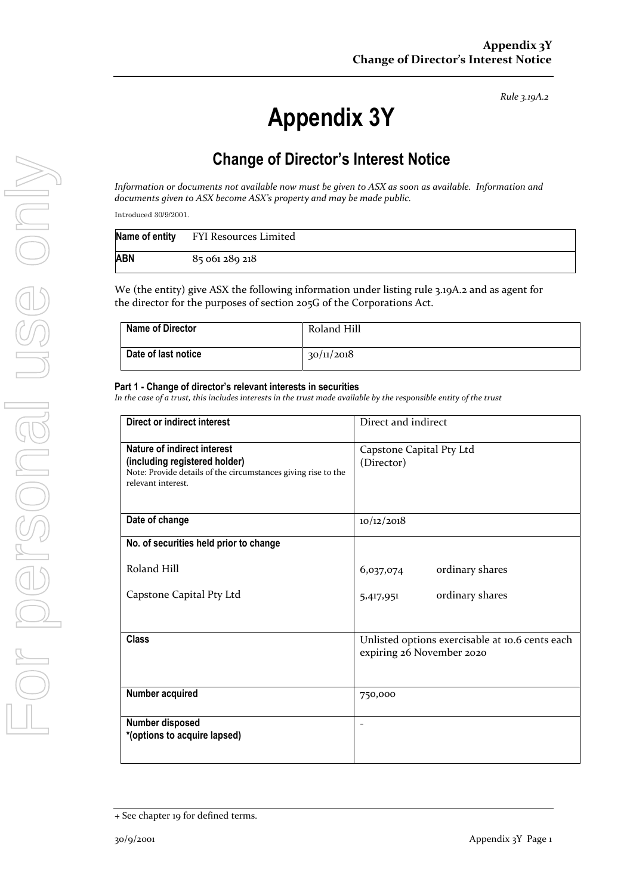# **Appendix 3Y**

# **Change of Director's Interest Notice**

*Information or documents not available now must be given to ASX as soon as available. Information and documents given to ASX become ASX's property and may be made public.*

Introduced 30/9/2001.

|     | Name of entity FYI Resources Limited |
|-----|--------------------------------------|
| ABN | 85 061 289 218                       |

We (the entity) give ASX the following information under listing rule 3.19A.2 and as agent for the director for the purposes of section 205G of the Corporations Act.

| <b>Name of Director</b> | Roland Hill |
|-------------------------|-------------|
| Date of last notice     | 30/11/2018  |

### **Part 1 - Change of director's relevant interests in securities**

| Direct or indirect interest                                                                                                                         | Direct and indirect                                                          |
|-----------------------------------------------------------------------------------------------------------------------------------------------------|------------------------------------------------------------------------------|
| Nature of indirect interest<br>(including registered holder)<br>Note: Provide details of the circumstances giving rise to the<br>relevant interest. | Capstone Capital Pty Ltd<br>(Director)                                       |
| Date of change                                                                                                                                      | 10/12/2018                                                                   |
| No. of securities held prior to change                                                                                                              |                                                                              |
| Roland Hill                                                                                                                                         | ordinary shares<br>6,037,074                                                 |
| Capstone Capital Pty Ltd                                                                                                                            | ordinary shares<br>5,417,951                                                 |
| <b>Class</b>                                                                                                                                        | Unlisted options exercisable at 10.6 cents each<br>expiring 26 November 2020 |
| Number acquired                                                                                                                                     | 750,000                                                                      |
| Number disposed<br>*(options to acquire lapsed)                                                                                                     | $\overline{\phantom{0}}$                                                     |

<sup>+</sup> See chapter 19 for defined terms.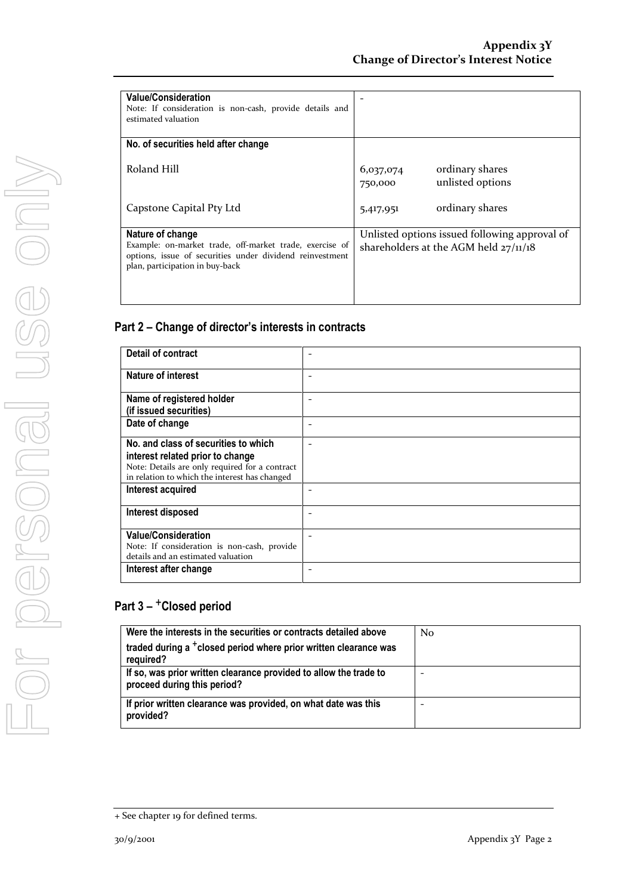| <b>Detail of contract</b>                      |  |
|------------------------------------------------|--|
| Nature of interest                             |  |
| Name of registered holder                      |  |
| (if issued securities)                         |  |
| Date of change                                 |  |
| No. and class of securities to which           |  |
| interest related prior to change               |  |
| Note: Details are only required for a contract |  |
| in relation to which the interest has changed  |  |
| Interest acquired                              |  |
| Interest disposed                              |  |
| <b>Value/Consideration</b>                     |  |
| Note: If consideration is non-cash, provide    |  |
| details and an estimated valuation             |  |
| Interest after change                          |  |

| Were the interests in the securities or contracts detailed above                                 | N <sub>0</sub> |
|--------------------------------------------------------------------------------------------------|----------------|
| traded during a <sup>+</sup> closed period where prior written clearance was<br>required?        |                |
| If so, was prior written clearance provided to allow the trade to<br>proceed during this period? |                |
| If prior written clearance was provided, on what date was this<br>provided?                      |                |

<sup>+</sup> See chapter 19 for defined terms.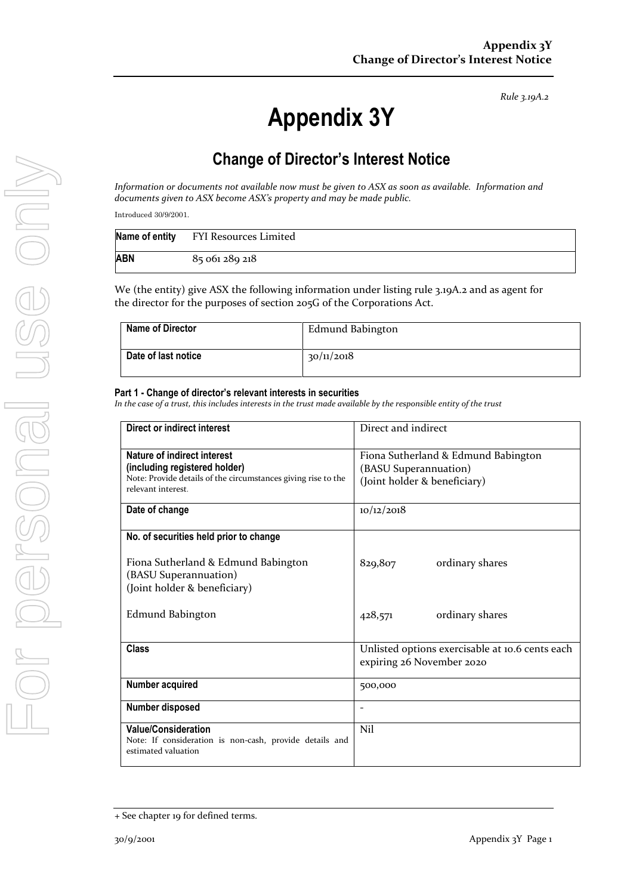# **Appendix 3Y**

## **Change of Director's Interest Notice**

*Information or documents not available now must be given to ASX as soon as available. Information and documents given to ASX become ASX's property and may be made public.*

Introduced 30/9/2001.

|     | Name of entity FYI Resources Limited |
|-----|--------------------------------------|
| ABN | 85 061 289 218                       |

We (the entity) give ASX the following information under listing rule 3.19A.2 and as agent for the director for the purposes of section 205G of the Corporations Act.

| <b>Name of Director</b> | Edmund Babington |
|-------------------------|------------------|
| Date of last notice     | 30/11/2018       |

### **Part 1 - Change of director's relevant interests in securities**

| Direct or indirect interest                                                                                  | Direct and indirect                                                          |
|--------------------------------------------------------------------------------------------------------------|------------------------------------------------------------------------------|
| <b>Nature of indirect interest</b><br>(including registered holder)                                          | Fiona Sutherland & Edmund Babington<br>(BASU Superannuation)                 |
| Note: Provide details of the circumstances giving rise to the<br>relevant interest.                          | (Joint holder & beneficiary)                                                 |
| Date of change                                                                                               | 10/12/2018                                                                   |
| No. of securities held prior to change                                                                       |                                                                              |
| Fiona Sutherland & Edmund Babington<br>(BASU Superannuation)<br>(Joint holder & beneficiary)                 | ordinary shares<br>829,807                                                   |
| Edmund Babington                                                                                             | ordinary shares<br>428,571                                                   |
| <b>Class</b>                                                                                                 | Unlisted options exercisable at 10.6 cents each<br>expiring 26 November 2020 |
| Number acquired                                                                                              | 500,000                                                                      |
| Number disposed                                                                                              |                                                                              |
| <b>Value/Consideration</b><br>Note: If consideration is non-cash, provide details and<br>estimated valuation | Nil                                                                          |

<sup>+</sup> See chapter 19 for defined terms.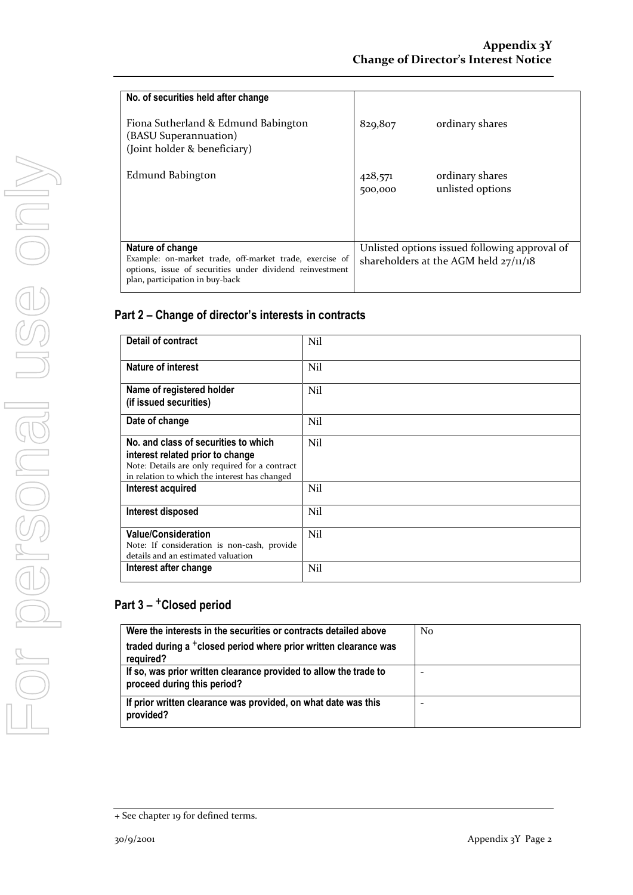| No. of securities held after change<br>Fiona Sutherland & Edmund Babington<br>(BASU Superannuation)<br>(Joint holder & beneficiary)                                        | 829,807            | ordinary shares                                                                          |
|----------------------------------------------------------------------------------------------------------------------------------------------------------------------------|--------------------|------------------------------------------------------------------------------------------|
| Edmund Babington                                                                                                                                                           | 428,571<br>500,000 | ordinary shares<br>unlisted options                                                      |
| Nature of change<br>Example: on-market trade, off-market trade, exercise of<br>options, issue of securities under dividend reinvestment<br>plan, participation in buy-back |                    | Unlisted options issued following approval of<br>shareholders at the AGM held $27/11/18$ |

| Detail of contract                             | Nil |
|------------------------------------------------|-----|
|                                                |     |
| Nature of interest                             | Nil |
|                                                |     |
| Name of registered holder                      | Nil |
| (if issued securities)                         |     |
|                                                |     |
| Date of change                                 | Nil |
|                                                |     |
| No. and class of securities to which           | Nil |
| interest related prior to change               |     |
| Note: Details are only required for a contract |     |
| in relation to which the interest has changed  |     |
| Interest acquired                              | Nil |
|                                                |     |
| Interest disposed                              | Nil |
|                                                |     |
| <b>Value/Consideration</b>                     | Nil |
| Note: If consideration is non-cash, provide    |     |
| details and an estimated valuation             |     |
| Interest after change                          | Nil |
|                                                |     |

| Were the interests in the securities or contracts detailed above                                 | No |
|--------------------------------------------------------------------------------------------------|----|
| traded during a <sup>+</sup> closed period where prior written clearance was<br>required?        |    |
| If so, was prior written clearance provided to allow the trade to<br>proceed during this period? |    |
| If prior written clearance was provided, on what date was this<br>provided?                      |    |

<sup>+</sup> See chapter 19 for defined terms.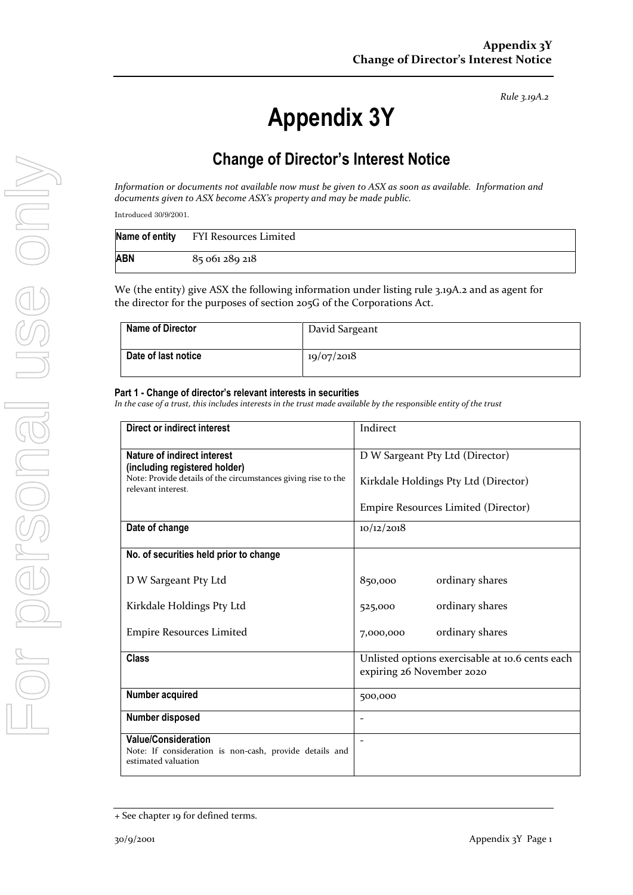# **Appendix 3Y**

## **Change of Director's Interest Notice**

*Information or documents not available now must be given to ASX as soon as available. Information and documents given to ASX become ASX's property and may be made public.*

Introduced 30/9/2001.

|     | Name of entity FYI Resources Limited |
|-----|--------------------------------------|
| ABN | 85 061 289 218                       |

We (the entity) give ASX the following information under listing rule 3.19A.2 and as agent for the director for the purposes of section 205G of the Corporations Act.

| Name of Director    | David Sargeant |
|---------------------|----------------|
| Date of last notice | 19/07/2018     |

### **Part 1 - Change of director's relevant interests in securities**

| <b>Direct or indirect interest</b>                                                                           | Indirect                                                                     |
|--------------------------------------------------------------------------------------------------------------|------------------------------------------------------------------------------|
| Nature of indirect interest<br>(including registered holder)                                                 | D W Sargeant Pty Ltd (Director)                                              |
| Note: Provide details of the circumstances giving rise to the<br>relevant interest.                          | Kirkdale Holdings Pty Ltd (Director)                                         |
|                                                                                                              | Empire Resources Limited (Director)                                          |
| Date of change                                                                                               | 10/12/2018                                                                   |
| No. of securities held prior to change                                                                       |                                                                              |
| D W Sargeant Pty Ltd                                                                                         | 850,000<br>ordinary shares                                                   |
| Kirkdale Holdings Pty Ltd                                                                                    | ordinary shares<br>525,000                                                   |
| <b>Empire Resources Limited</b>                                                                              | ordinary shares<br>7,000,000                                                 |
| <b>Class</b>                                                                                                 | Unlisted options exercisable at 10.6 cents each<br>expiring 26 November 2020 |
| Number acquired                                                                                              | 500,000                                                                      |
| Number disposed                                                                                              |                                                                              |
| <b>Value/Consideration</b><br>Note: If consideration is non-cash, provide details and<br>estimated valuation |                                                                              |

<sup>+</sup> See chapter 19 for defined terms.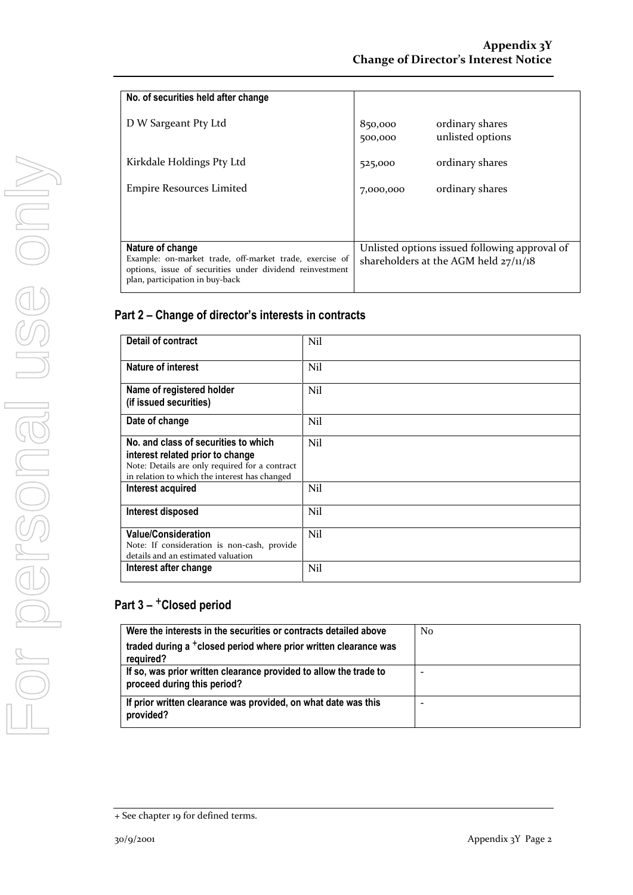| No. of securities held after change                      |           |                                               |
|----------------------------------------------------------|-----------|-----------------------------------------------|
|                                                          |           |                                               |
| D W Sargeant Pty Ltd                                     | 850,000   | ordinary shares                               |
|                                                          |           | unlisted options                              |
|                                                          | 500,000   |                                               |
|                                                          |           |                                               |
| Kirkdale Holdings Pty Ltd                                | 525,000   | ordinary shares                               |
|                                                          |           |                                               |
| <b>Empire Resources Limited</b>                          | 7,000,000 | ordinary shares                               |
|                                                          |           |                                               |
|                                                          |           |                                               |
|                                                          |           |                                               |
|                                                          |           |                                               |
| Nature of change                                         |           | Unlisted options issued following approval of |
| Example: on-market trade, off-market trade, exercise of  |           | shareholders at the AGM held $27/11/18$       |
| options, issue of securities under dividend reinvestment |           |                                               |
| plan, participation in buy-back                          |           |                                               |
|                                                          |           |                                               |

| <b>Detail of contract</b>                                                                                                                                                   | Nil |
|-----------------------------------------------------------------------------------------------------------------------------------------------------------------------------|-----|
| Nature of interest                                                                                                                                                          | Nil |
| Name of registered holder<br>(if issued securities)                                                                                                                         | Nil |
| Date of change                                                                                                                                                              | Nil |
| No. and class of securities to which<br>interest related prior to change<br>Note: Details are only required for a contract<br>in relation to which the interest has changed | Nil |
| Interest acquired                                                                                                                                                           | Nil |
| Interest disposed                                                                                                                                                           | Nil |
| <b>Value/Consideration</b><br>Note: If consideration is non-cash, provide<br>details and an estimated valuation                                                             | Nil |
| Interest after change                                                                                                                                                       | Nil |

| Were the interests in the securities or contracts detailed above                                 | N <sub>0</sub> |
|--------------------------------------------------------------------------------------------------|----------------|
| traded during a <sup>+</sup> closed period where prior written clearance was<br>required?        |                |
| If so, was prior written clearance provided to allow the trade to<br>proceed during this period? |                |
| If prior written clearance was provided, on what date was this<br>provided?                      |                |

<sup>+</sup> See chapter 19 for defined terms.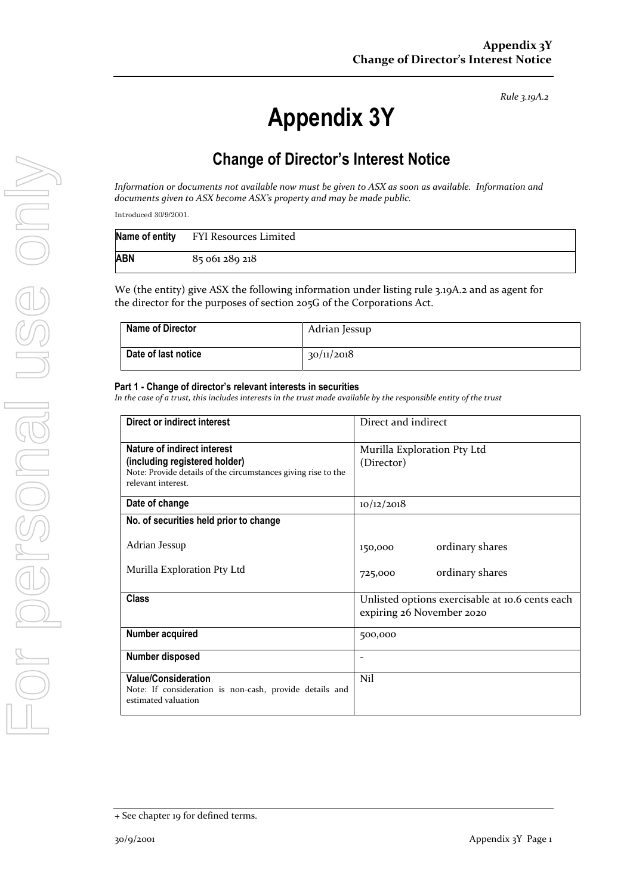# **Appendix 3Y**

## **Change of Director's Interest Notice**

*Information or documents not available now must be given to ASX as soon as available. Information and documents given to ASX become ASX's property and may be made public.*

Introduced 30/9/2001.

|     | Name of entity FYI Resources Limited |
|-----|--------------------------------------|
| ABN | 85 061 289 218                       |

We (the entity) give ASX the following information under listing rule 3.19A.2 and as agent for the director for the purposes of section 205G of the Corporations Act.

| <b>Name of Director</b> | Adrian Jessup |
|-------------------------|---------------|
| Date of last notice     | 30/11/2018    |

### **Part 1 - Change of director's relevant interests in securities**

| Direct or indirect interest                                                                                                                         | Direct and indirect                                                          |
|-----------------------------------------------------------------------------------------------------------------------------------------------------|------------------------------------------------------------------------------|
| Nature of indirect interest<br>(including registered holder)<br>Note: Provide details of the circumstances giving rise to the<br>relevant interest. | Murilla Exploration Pty Ltd<br>(Director)                                    |
| Date of change                                                                                                                                      | 10/12/2018                                                                   |
| No. of securities held prior to change                                                                                                              |                                                                              |
| Adrian Jessup                                                                                                                                       | ordinary shares<br>150,000                                                   |
| Murilla Exploration Pty Ltd                                                                                                                         | ordinary shares<br>725,000                                                   |
| <b>Class</b>                                                                                                                                        | Unlisted options exercisable at 10.6 cents each<br>expiring 26 November 2020 |
| <b>Number acquired</b>                                                                                                                              | 500,000                                                                      |
| Number disposed                                                                                                                                     |                                                                              |
| <b>Value/Consideration</b><br>Note: If consideration is non-cash, provide details and<br>estimated valuation                                        | Nil                                                                          |

<sup>+</sup> See chapter 19 for defined terms.